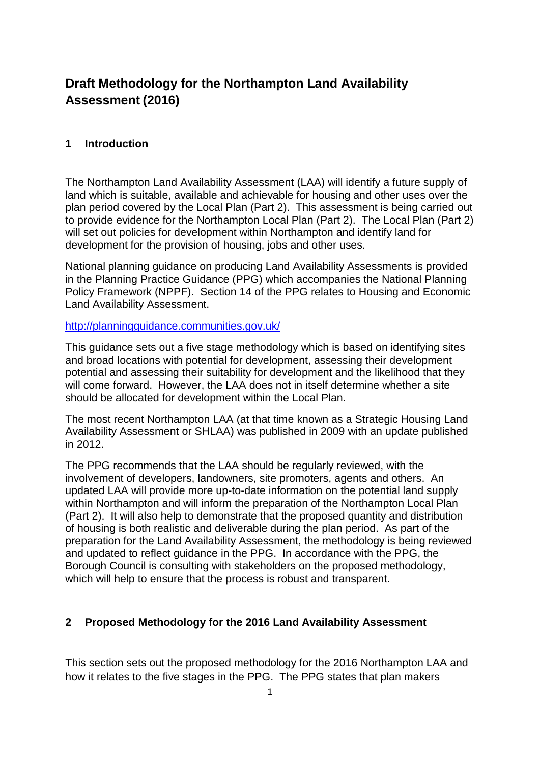# **Draft Methodology for the Northampton Land Availability Assessment (2016)**

### **1 Introduction**

The Northampton Land Availability Assessment (LAA) will identify a future supply of land which is suitable, available and achievable for housing and other uses over the plan period covered by the Local Plan (Part 2). This assessment is being carried out to provide evidence for the Northampton Local Plan (Part 2). The Local Plan (Part 2) will set out policies for development within Northampton and identify land for development for the provision of housing, jobs and other uses.

National planning guidance on producing Land Availability Assessments is provided in the Planning Practice Guidance (PPG) which accompanies the National Planning Policy Framework (NPPF). Section 14 of the PPG relates to Housing and Economic Land Availability Assessment.

#### <http://planningguidance.communities.gov.uk/>

This guidance sets out a five stage methodology which is based on identifying sites and broad locations with potential for development, assessing their development potential and assessing their suitability for development and the likelihood that they will come forward. However, the LAA does not in itself determine whether a site should be allocated for development within the Local Plan.

The most recent Northampton LAA (at that time known as a Strategic Housing Land Availability Assessment or SHLAA) was published in 2009 with an update published in 2012.

The PPG recommends that the LAA should be regularly reviewed, with the involvement of developers, landowners, site promoters, agents and others. An updated LAA will provide more up-to-date information on the potential land supply within Northampton and will inform the preparation of the Northampton Local Plan (Part 2). It will also help to demonstrate that the proposed quantity and distribution of housing is both realistic and deliverable during the plan period. As part of the preparation for the Land Availability Assessment, the methodology is being reviewed and updated to reflect guidance in the PPG. In accordance with the PPG, the Borough Council is consulting with stakeholders on the proposed methodology, which will help to ensure that the process is robust and transparent.

### **2 Proposed Methodology for the 2016 Land Availability Assessment**

This section sets out the proposed methodology for the 2016 Northampton LAA and how it relates to the five stages in the PPG. The PPG states that plan makers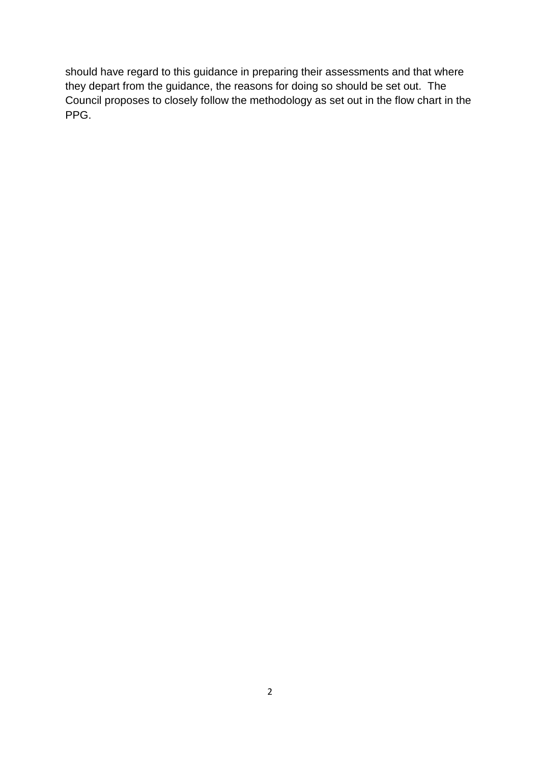should have regard to this guidance in preparing their assessments and that where they depart from the guidance, the reasons for doing so should be set out. The Council proposes to closely follow the methodology as set out in the flow chart in the PPG.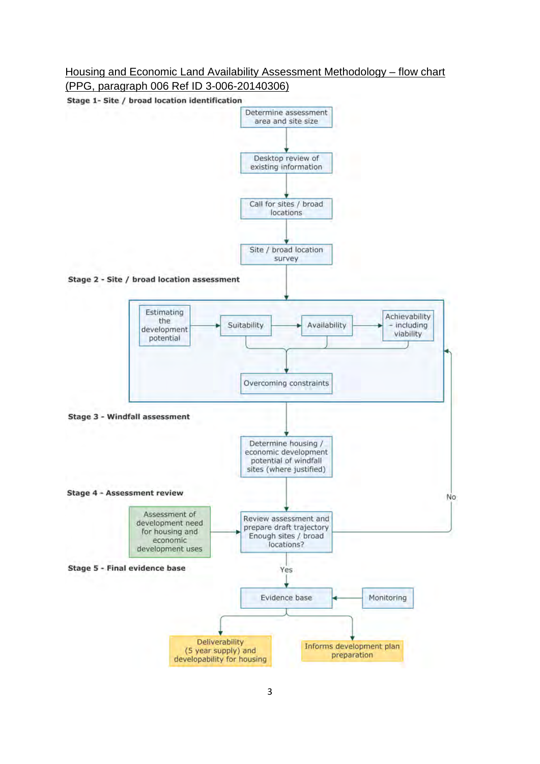## Housing and Economic Land Availability Assessment Methodology – flow chart (PPG, paragraph 006 Ref ID 3-006-20140306)

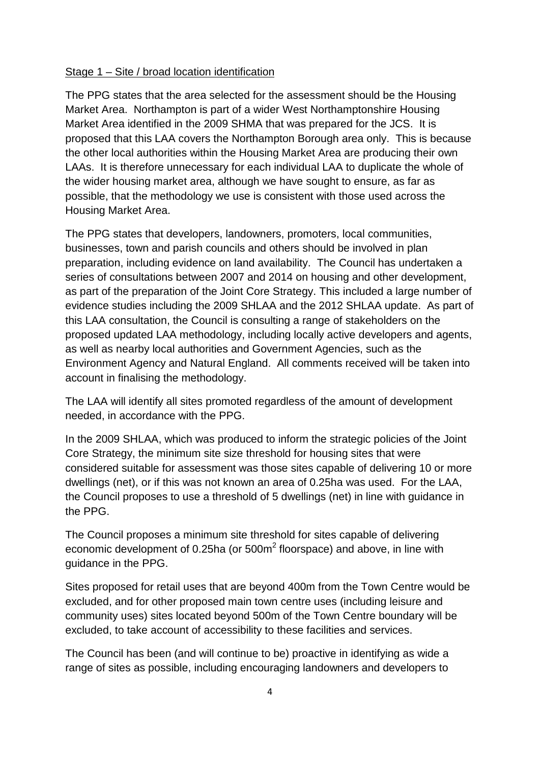### Stage 1 – Site / broad location identification

The PPG states that the area selected for the assessment should be the Housing Market Area. Northampton is part of a wider West Northamptonshire Housing Market Area identified in the 2009 SHMA that was prepared for the JCS. It is proposed that this LAA covers the Northampton Borough area only. This is because the other local authorities within the Housing Market Area are producing their own LAAs. It is therefore unnecessary for each individual LAA to duplicate the whole of the wider housing market area, although we have sought to ensure, as far as possible, that the methodology we use is consistent with those used across the Housing Market Area.

The PPG states that developers, landowners, promoters, local communities, businesses, town and parish councils and others should be involved in plan preparation, including evidence on land availability. The Council has undertaken a series of consultations between 2007 and 2014 on housing and other development, as part of the preparation of the Joint Core Strategy. This included a large number of evidence studies including the 2009 SHLAA and the 2012 SHLAA update. As part of this LAA consultation, the Council is consulting a range of stakeholders on the proposed updated LAA methodology, including locally active developers and agents, as well as nearby local authorities and Government Agencies, such as the Environment Agency and Natural England. All comments received will be taken into account in finalising the methodology.

The LAA will identify all sites promoted regardless of the amount of development needed, in accordance with the PPG.

In the 2009 SHLAA, which was produced to inform the strategic policies of the Joint Core Strategy, the minimum site size threshold for housing sites that were considered suitable for assessment was those sites capable of delivering 10 or more dwellings (net), or if this was not known an area of 0.25ha was used. For the LAA, the Council proposes to use a threshold of 5 dwellings (net) in line with guidance in the PPG.

The Council proposes a minimum site threshold for sites capable of delivering economic development of 0.25ha (or  $500m^2$  floorspace) and above, in line with guidance in the PPG.

Sites proposed for retail uses that are beyond 400m from the Town Centre would be excluded, and for other proposed main town centre uses (including leisure and community uses) sites located beyond 500m of the Town Centre boundary will be excluded, to take account of accessibility to these facilities and services.

The Council has been (and will continue to be) proactive in identifying as wide a range of sites as possible, including encouraging landowners and developers to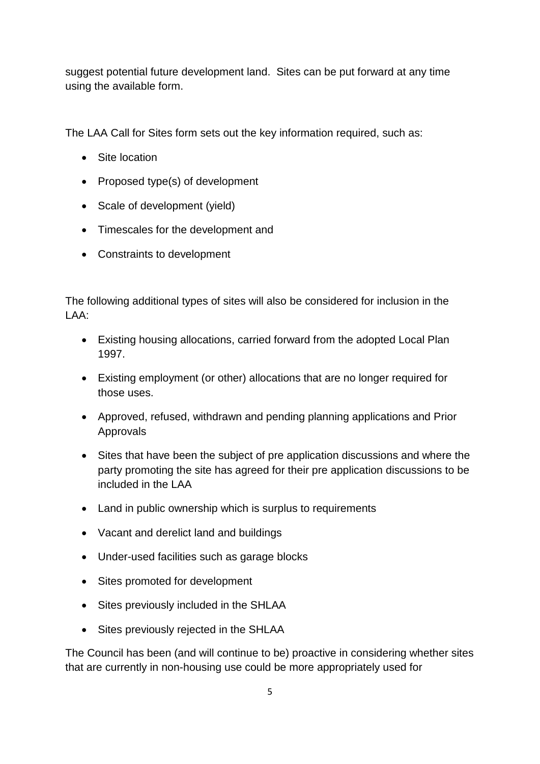suggest potential future development land. Sites can be put forward at any time using the available form.

The LAA Call for Sites form sets out the key information required, such as:

- Site location
- Proposed type(s) of development
- Scale of development (yield)
- Timescales for the development and
- Constraints to development

The following additional types of sites will also be considered for inclusion in the LAA:

- Existing housing allocations, carried forward from the adopted Local Plan 1997.
- Existing employment (or other) allocations that are no longer required for those uses.
- Approved, refused, withdrawn and pending planning applications and Prior Approvals
- Sites that have been the subject of pre application discussions and where the party promoting the site has agreed for their pre application discussions to be included in the LAA
- Land in public ownership which is surplus to requirements
- Vacant and derelict land and buildings
- Under-used facilities such as garage blocks
- Sites promoted for development
- Sites previously included in the SHLAA
- Sites previously rejected in the SHLAA

The Council has been (and will continue to be) proactive in considering whether sites that are currently in non-housing use could be more appropriately used for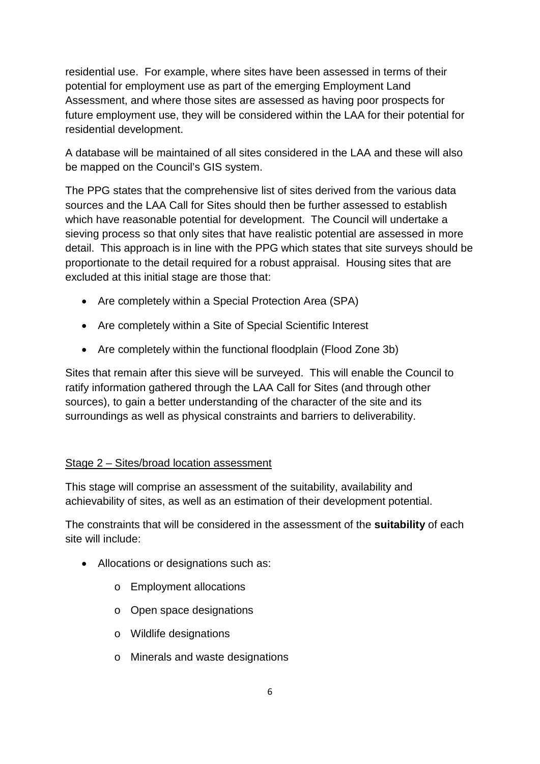residential use. For example, where sites have been assessed in terms of their potential for employment use as part of the emerging Employment Land Assessment, and where those sites are assessed as having poor prospects for future employment use, they will be considered within the LAA for their potential for residential development.

A database will be maintained of all sites considered in the LAA and these will also be mapped on the Council's GIS system.

The PPG states that the comprehensive list of sites derived from the various data sources and the LAA Call for Sites should then be further assessed to establish which have reasonable potential for development. The Council will undertake a sieving process so that only sites that have realistic potential are assessed in more detail. This approach is in line with the PPG which states that site surveys should be proportionate to the detail required for a robust appraisal. Housing sites that are excluded at this initial stage are those that:

- Are completely within a Special Protection Area (SPA)
- Are completely within a Site of Special Scientific Interest
- Are completely within the functional floodplain (Flood Zone 3b)

Sites that remain after this sieve will be surveyed. This will enable the Council to ratify information gathered through the LAA Call for Sites (and through other sources), to gain a better understanding of the character of the site and its surroundings as well as physical constraints and barriers to deliverability.

# Stage 2 – Sites/broad location assessment

This stage will comprise an assessment of the suitability, availability and achievability of sites, as well as an estimation of their development potential.

The constraints that will be considered in the assessment of the **suitability** of each site will include:

- Allocations or designations such as:
	- o Employment allocations
	- o Open space designations
	- o Wildlife designations
	- o Minerals and waste designations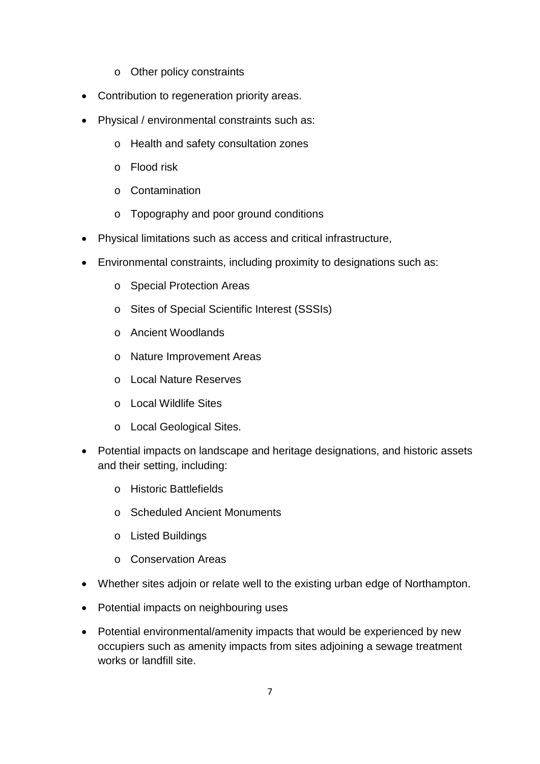- o Other policy constraints
- Contribution to regeneration priority areas.
- Physical / environmental constraints such as:
	- o Health and safety consultation zones
	- o Flood risk
	- o Contamination
	- o Topography and poor ground conditions
- Physical limitations such as access and critical infrastructure,
- Environmental constraints, including proximity to designations such as:
	- o Special Protection Areas
	- o Sites of Special Scientific Interest (SSSIs)
	- o Ancient Woodlands
	- o Nature Improvement Areas
	- o Local Nature Reserves
	- o Local Wildlife Sites
	- o Local Geological Sites.
- Potential impacts on landscape and heritage designations, and historic assets and their setting, including:
	- o Historic Battlefields
	- o Scheduled Ancient Monuments
	- o Listed Buildings
	- o Conservation Areas
- Whether sites adjoin or relate well to the existing urban edge of Northampton.
- Potential impacts on neighbouring uses
- Potential environmental/amenity impacts that would be experienced by new occupiers such as amenity impacts from sites adjoining a sewage treatment works or landfill site.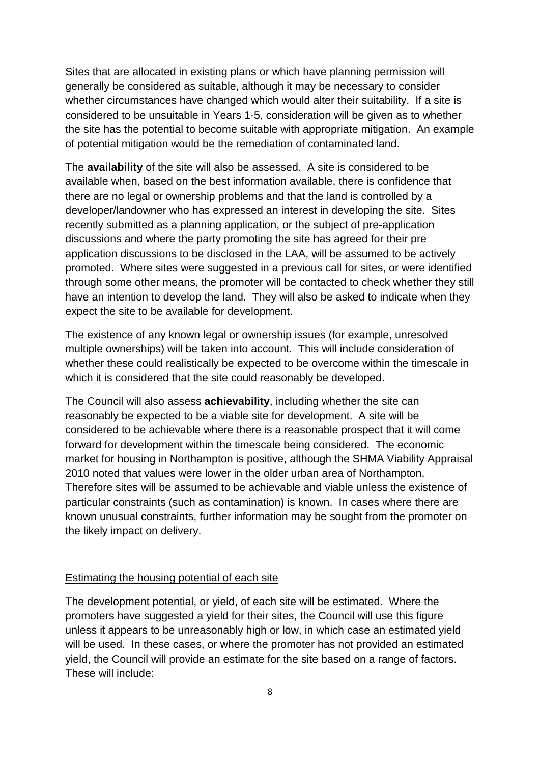Sites that are allocated in existing plans or which have planning permission will generally be considered as suitable, although it may be necessary to consider whether circumstances have changed which would alter their suitability. If a site is considered to be unsuitable in Years 1-5, consideration will be given as to whether the site has the potential to become suitable with appropriate mitigation. An example of potential mitigation would be the remediation of contaminated land.

The **availability** of the site will also be assessed. A site is considered to be available when, based on the best information available, there is confidence that there are no legal or ownership problems and that the land is controlled by a developer/landowner who has expressed an interest in developing the site. Sites recently submitted as a planning application, or the subject of pre-application discussions and where the party promoting the site has agreed for their pre application discussions to be disclosed in the LAA, will be assumed to be actively promoted. Where sites were suggested in a previous call for sites, or were identified through some other means, the promoter will be contacted to check whether they still have an intention to develop the land. They will also be asked to indicate when they expect the site to be available for development.

The existence of any known legal or ownership issues (for example, unresolved multiple ownerships) will be taken into account. This will include consideration of whether these could realistically be expected to be overcome within the timescale in which it is considered that the site could reasonably be developed.

The Council will also assess **achievability**, including whether the site can reasonably be expected to be a viable site for development. A site will be considered to be achievable where there is a reasonable prospect that it will come forward for development within the timescale being considered. The economic market for housing in Northampton is positive, although the SHMA Viability Appraisal 2010 noted that values were lower in the older urban area of Northampton. Therefore sites will be assumed to be achievable and viable unless the existence of particular constraints (such as contamination) is known. In cases where there are known unusual constraints, further information may be sought from the promoter on the likely impact on delivery.

### Estimating the housing potential of each site

The development potential, or yield, of each site will be estimated. Where the promoters have suggested a yield for their sites, the Council will use this figure unless it appears to be unreasonably high or low, in which case an estimated yield will be used. In these cases, or where the promoter has not provided an estimated yield, the Council will provide an estimate for the site based on a range of factors. These will include: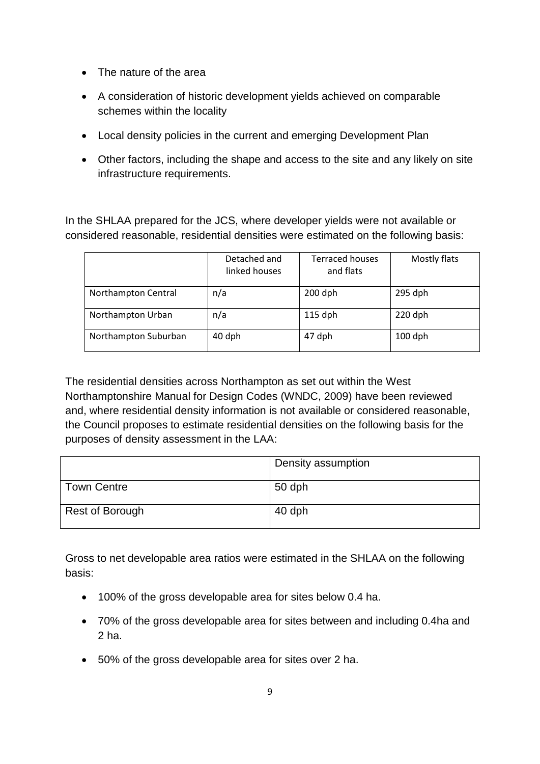- The nature of the area
- A consideration of historic development yields achieved on comparable schemes within the locality
- Local density policies in the current and emerging Development Plan
- Other factors, including the shape and access to the site and any likely on site infrastructure requirements.

In the SHLAA prepared for the JCS, where developer yields were not available or considered reasonable, residential densities were estimated on the following basis:

|                      | Detached and<br>linked houses | <b>Terraced houses</b><br>and flats | Mostly flats |
|----------------------|-------------------------------|-------------------------------------|--------------|
| Northampton Central  | n/a                           | $200$ dph                           | $295$ dph    |
| Northampton Urban    | n/a                           | $115$ dph                           | $220$ dph    |
| Northampton Suburban | 40 dph                        | 47 dph                              | $100$ dph    |

The residential densities across Northampton as set out within the West Northamptonshire Manual for Design Codes (WNDC, 2009) have been reviewed and, where residential density information is not available or considered reasonable, the Council proposes to estimate residential densities on the following basis for the purposes of density assessment in the LAA:

|                 | Density assumption |
|-----------------|--------------------|
| Town Centre     | 50 dph             |
| Rest of Borough | 40 dph             |

Gross to net developable area ratios were estimated in the SHLAA on the following basis:

- 100% of the gross developable area for sites below 0.4 ha.
- 70% of the gross developable area for sites between and including 0.4ha and 2 ha.
- 50% of the gross developable area for sites over 2 ha.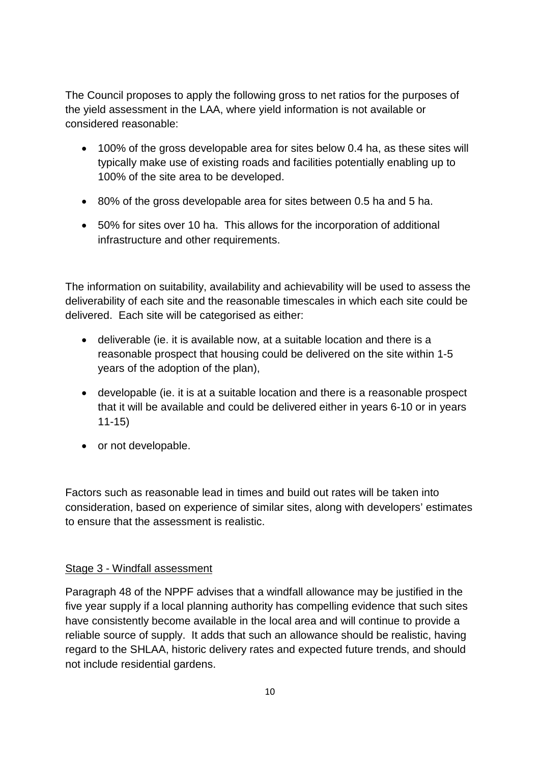The Council proposes to apply the following gross to net ratios for the purposes of the yield assessment in the LAA, where yield information is not available or considered reasonable:

- 100% of the gross developable area for sites below 0.4 ha, as these sites will typically make use of existing roads and facilities potentially enabling up to 100% of the site area to be developed.
- 80% of the gross developable area for sites between 0.5 ha and 5 ha.
- 50% for sites over 10 ha. This allows for the incorporation of additional infrastructure and other requirements.

The information on suitability, availability and achievability will be used to assess the deliverability of each site and the reasonable timescales in which each site could be delivered. Each site will be categorised as either:

- deliverable (ie. it is available now, at a suitable location and there is a reasonable prospect that housing could be delivered on the site within 1-5 years of the adoption of the plan),
- developable (ie. it is at a suitable location and there is a reasonable prospect that it will be available and could be delivered either in years 6-10 or in years 11-15)
- or not developable.

Factors such as reasonable lead in times and build out rates will be taken into consideration, based on experience of similar sites, along with developers' estimates to ensure that the assessment is realistic.

## Stage 3 - Windfall assessment

Paragraph 48 of the NPPF advises that a windfall allowance may be justified in the five year supply if a local planning authority has compelling evidence that such sites have consistently become available in the local area and will continue to provide a reliable source of supply. It adds that such an allowance should be realistic, having regard to the SHLAA, historic delivery rates and expected future trends, and should not include residential gardens.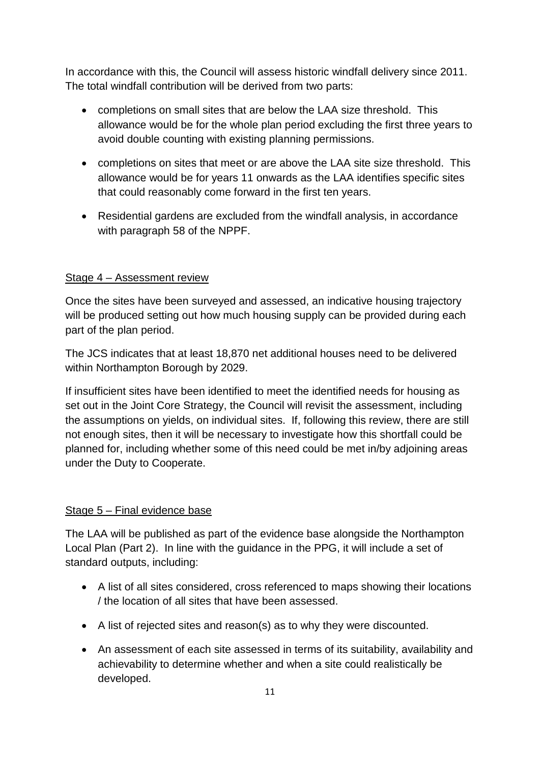In accordance with this, the Council will assess historic windfall delivery since 2011. The total windfall contribution will be derived from two parts:

- completions on small sites that are below the LAA size threshold. This allowance would be for the whole plan period excluding the first three years to avoid double counting with existing planning permissions.
- completions on sites that meet or are above the LAA site size threshold. This allowance would be for years 11 onwards as the LAA identifies specific sites that could reasonably come forward in the first ten years.
- Residential gardens are excluded from the windfall analysis, in accordance with paragraph 58 of the NPPF.

# Stage 4 – Assessment review

Once the sites have been surveyed and assessed, an indicative housing trajectory will be produced setting out how much housing supply can be provided during each part of the plan period.

The JCS indicates that at least 18,870 net additional houses need to be delivered within Northampton Borough by 2029.

If insufficient sites have been identified to meet the identified needs for housing as set out in the Joint Core Strategy, the Council will revisit the assessment, including the assumptions on yields, on individual sites. If, following this review, there are still not enough sites, then it will be necessary to investigate how this shortfall could be planned for, including whether some of this need could be met in/by adjoining areas under the Duty to Cooperate.

## Stage 5 – Final evidence base

The LAA will be published as part of the evidence base alongside the Northampton Local Plan (Part 2). In line with the guidance in the PPG, it will include a set of standard outputs, including:

- A list of all sites considered, cross referenced to maps showing their locations / the location of all sites that have been assessed.
- A list of rejected sites and reason(s) as to why they were discounted.
- An assessment of each site assessed in terms of its suitability, availability and achievability to determine whether and when a site could realistically be developed.